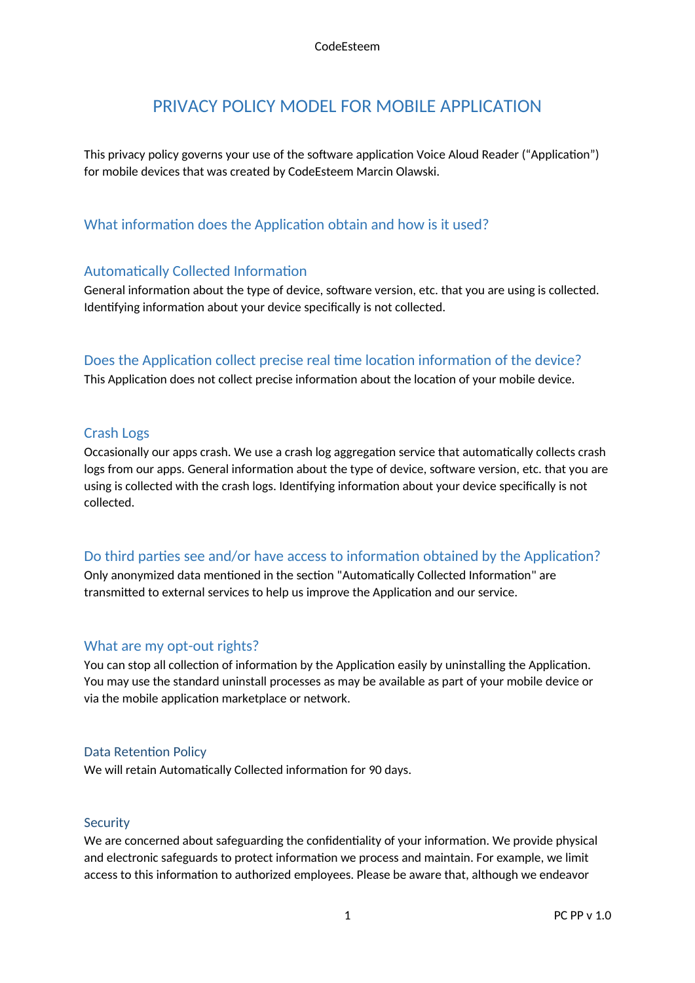# PRIVACY POLICY MODEL FOR MOBILE APPLICATION

This privacy policy governs your use of the software application Voice Aloud Reader ("Application") for mobile devices that was created by CodeEsteem Marcin Olawski.

## What information does the Application obtain and how is it used?

#### Automatically Collected Information

General information about the type of device, software version, etc. that you are using is collected. Identifying information about your device specifically is not collected.

## Does the Application collect precise real time location information of the device?

This Application does not collect precise information about the location of your mobile device.

### Crash Logs

Occasionally our apps crash. We use a crash log aggregation service that automatically collects crash logs from our apps. General information about the type of device, software version, etc. that you are using is collected with the crash logs. Identifying information about your device specifically is not collected.

## Do third parties see and/or have access to information obtained by the Application?

Only anonymized data mentioned in the section "Automatically Collected Information" are transmitted to external services to help us improve the Application and our service.

#### What are my opt-out rights?

You can stop all collection of information by the Application easily by uninstalling the Application. You may use the standard uninstall processes as may be available as part of your mobile device or via the mobile application marketplace or network.

#### Data Retention Policy

We will retain Automatically Collected information for 90 days.

#### **Security**

We are concerned about safeguarding the confidentiality of your information. We provide physical and electronic safeguards to protect information we process and maintain. For example, we limit access to this information to authorized employees. Please be aware that, although we endeavor